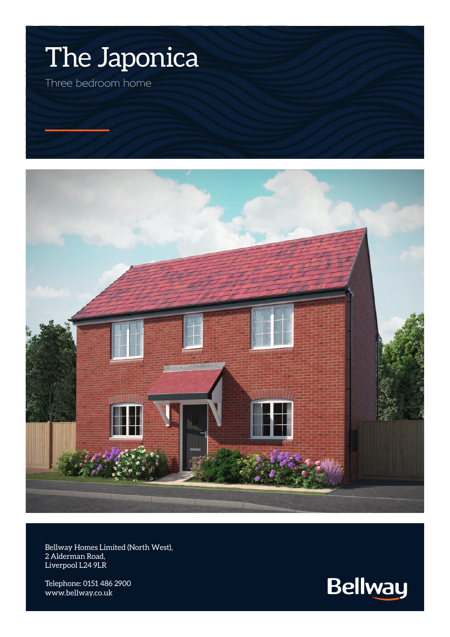



Bellway Homes Limited (North West), 2 Alderman Road, Liverpool L24 9LR

Telephone: 0151 486 2900 www.bellway.co.uk